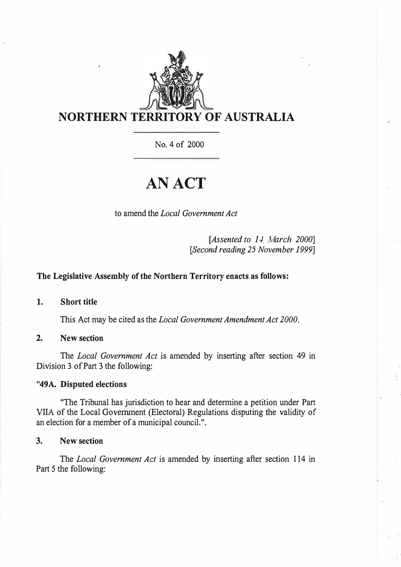

No. 4 of 2000

# **AN ACT**

to amend the *Local Government Act* 

*[Assented to 14 March 2000] [Second reading 25 November 1999]* 

## **The Legislative Assembly of the Northern Territory enacts as follows:**

**1. Short title**

This Act may be cited as the *Local Government Amendment Act 2000.*

#### **2. New section**

The *Local Government Act* is amended by inserting after section 49 in Division 3 of Part 3 the following:

### **"49A. Disputed elections**

"The Tribunal has jurisdiction to hear and determine a petition under Part VIIA of the Local Government (Electoral) Regulations disputing the validity of an election for a member of a municipal council.".

#### **3. New section**

The *Local Government Act* is amended by inserting after section 114 in Part 5 the following: